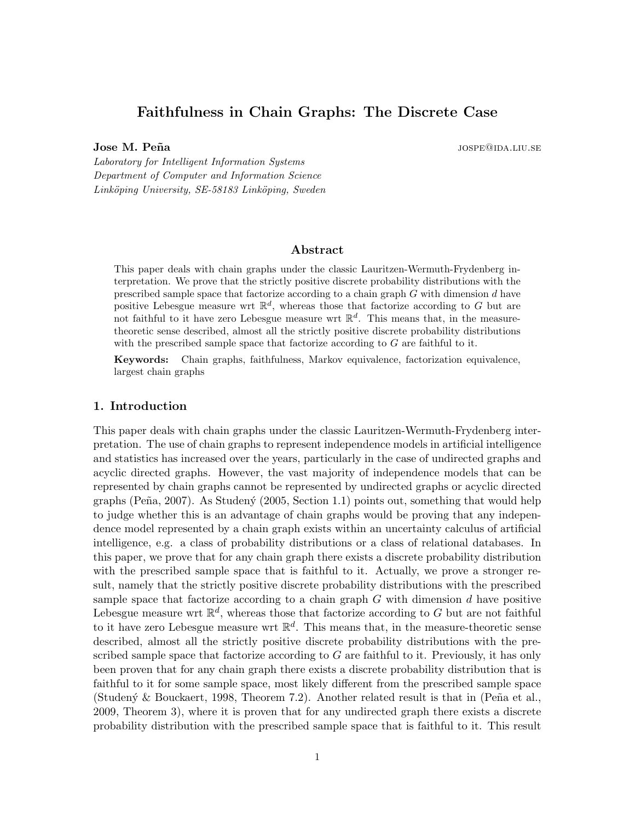# Faithfulness in Chain Graphs: The Discrete Case

**Jose M. Peña** jospe@ida.liu.se

Laboratory for Intelligent Information Systems Department of Computer and Information Science Linköping University, SE-58183 Linköping, Sweden

# Abstract

This paper deals with chain graphs under the classic Lauritzen-Wermuth-Frydenberg interpretation. We prove that the strictly positive discrete probability distributions with the prescribed sample space that factorize according to a chain graph  $G$  with dimension  $d$  have positive Lebesgue measure wrt  $\mathbb{R}^d$ , whereas those that factorize according to G but are not faithful to it have zero Lebesgue measure wrt  $\mathbb{R}^d$ . This means that, in the measuretheoretic sense described, almost all the strictly positive discrete probability distributions with the prescribed sample space that factorize according to  $G$  are faithful to it.

Keywords: Chain graphs, faithfulness, Markov equivalence, factorization equivalence, largest chain graphs

#### 1. Introduction

This paper deals with chain graphs under the classic Lauritzen-Wermuth-Frydenberg interpretation. The use of chain graphs to represent independence models in artificial intelligence and statistics has increased over the years, particularly in the case of undirected graphs and acyclic directed graphs. However, the vast majority of independence models that can be represented by chain graphs cannot be represented by undirected graphs or acyclic directed graphs (Peña, 2007). As Studený (2005, Section 1.1) points out, something that would help to judge whether this is an advantage of chain graphs would be proving that any independence model represented by a chain graph exists within an uncertainty calculus of artificial intelligence, e.g. a class of probability distributions or a class of relational databases. In this paper, we prove that for any chain graph there exists a discrete probability distribution with the prescribed sample space that is faithful to it. Actually, we prove a stronger result, namely that the strictly positive discrete probability distributions with the prescribed sample space that factorize according to a chain graph  $G$  with dimension  $d$  have positive Lebesgue measure wrt  $\mathbb{R}^d$ , whereas those that factorize according to G but are not faithful to it have zero Lebesgue measure wrt  $\mathbb{R}^d$ . This means that, in the measure-theoretic sense described, almost all the strictly positive discrete probability distributions with the prescribed sample space that factorize according to  $G$  are faithful to it. Previously, it has only been proven that for any chain graph there exists a discrete probability distribution that is faithful to it for some sample space, most likely different from the prescribed sample space (Studený & Bouckaert, 1998, Theorem 7.2). Another related result is that in (Peña et al., 2009, Theorem 3), where it is proven that for any undirected graph there exists a discrete probability distribution with the prescribed sample space that is faithful to it. This result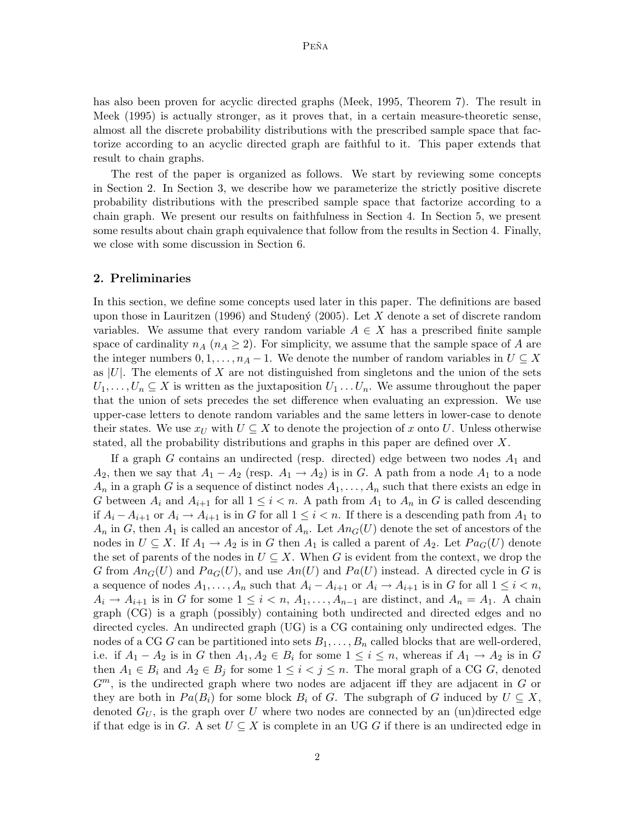has also been proven for acyclic directed graphs (Meek, 1995, Theorem 7). The result in Meek (1995) is actually stronger, as it proves that, in a certain measure-theoretic sense, almost all the discrete probability distributions with the prescribed sample space that factorize according to an acyclic directed graph are faithful to it. This paper extends that result to chain graphs.

The rest of the paper is organized as follows. We start by reviewing some concepts in Section 2. In Section 3, we describe how we parameterize the strictly positive discrete probability distributions with the prescribed sample space that factorize according to a chain graph. We present our results on faithfulness in Section 4. In Section 5, we present some results about chain graph equivalence that follow from the results in Section 4. Finally, we close with some discussion in Section 6.

### 2. Preliminaries

In this section, we define some concepts used later in this paper. The definitions are based upon those in Lauritzen (1996) and Studeny (2005). Let X denote a set of discrete random variables. We assume that every random variable  $A \in X$  has a prescribed finite sample space of cardinality  $n_A$  ( $n_A \geq 2$ ). For simplicity, we assume that the sample space of A are the integer numbers  $0, 1, \ldots, n_A - 1$ . We denote the number of random variables in  $U \subseteq X$ as  $|U|$ . The elements of X are not distinguished from singletons and the union of the sets  $U_1, \ldots, U_n \subseteq X$  is written as the juxtaposition  $U_1 \ldots U_n$ . We assume throughout the paper that the union of sets precedes the set difference when evaluating an expression. We use upper-case letters to denote random variables and the same letters in lower-case to denote their states. We use  $x_U$  with  $U \subseteq X$  to denote the projection of x onto U. Unless otherwise stated, all the probability distributions and graphs in this paper are defined over  $X$ .

If a graph  $G$  contains an undirected (resp. directed) edge between two nodes  $A_1$  and  $A_2$ , then we say that  $A_1 - A_2$  (resp.  $A_1 \rightarrow A_2$ ) is in G. A path from a node  $A_1$  to a node  $A_n$  in a graph G is a sequence of distinct nodes  $A_1, \ldots, A_n$  such that there exists an edge in G between  $A_i$  and  $A_{i+1}$  for all  $1 \leq i \leq n$ . A path from  $A_1$  to  $A_n$  in G is called descending if  $A_i - A_{i+1}$  or  $A_i \to A_{i+1}$  is in G for all  $1 \leq i < n$ . If there is a descending path from  $A_1$  to  $A_n$  in G, then  $A_1$  is called an ancestor of  $A_n$ . Let  $An_G(U)$  denote the set of ancestors of the nodes in  $U \subseteq X$ . If  $A_1 \to A_2$  is in G then  $A_1$  is called a parent of  $A_2$ . Let  $Pa_G(U)$  denote the set of parents of the nodes in  $U \subseteq X$ . When G is evident from the context, we drop the G from  $An_G(U)$  and  $Pa_G(U)$ , and use  $An(U)$  and  $Pa(U)$  instead. A directed cycle in G is a sequence of nodes  $A_1, \ldots, A_n$  such that  $A_i - A_{i+1}$  or  $A_i \to A_{i+1}$  is in G for all  $1 \leq i < n$ ,  $A_i \to A_{i+1}$  is in G for some  $1 \leq i \leq n, A_1, \ldots, A_{n-1}$  are distinct, and  $A_n = A_1$ . A chain graph (CG) is a graph (possibly) containing both undirected and directed edges and no directed cycles. An undirected graph (UG) is a CG containing only undirected edges. The nodes of a CG G can be partitioned into sets  $B_1, \ldots, B_n$  called blocks that are well-ordered, i.e. if  $A_1 - A_2$  is in G then  $A_1, A_2 \in B_i$  for some  $1 \leq i \leq n$ , whereas if  $A_1 \to A_2$  is in G then  $A_1 \in B_i$  and  $A_2 \in B_j$  for some  $1 \leq i < j \leq n$ . The moral graph of a CG G, denoted  $G<sup>m</sup>$ , is the undirected graph where two nodes are adjacent iff they are adjacent in G or they are both in  $Pa(B_i)$  for some block  $B_i$  of G. The subgraph of G induced by  $U \subseteq X$ , denoted  $G_U$ , is the graph over U where two nodes are connected by an (un)directed edge if that edge is in G. A set  $U \subseteq X$  is complete in an UG G if there is an undirected edge in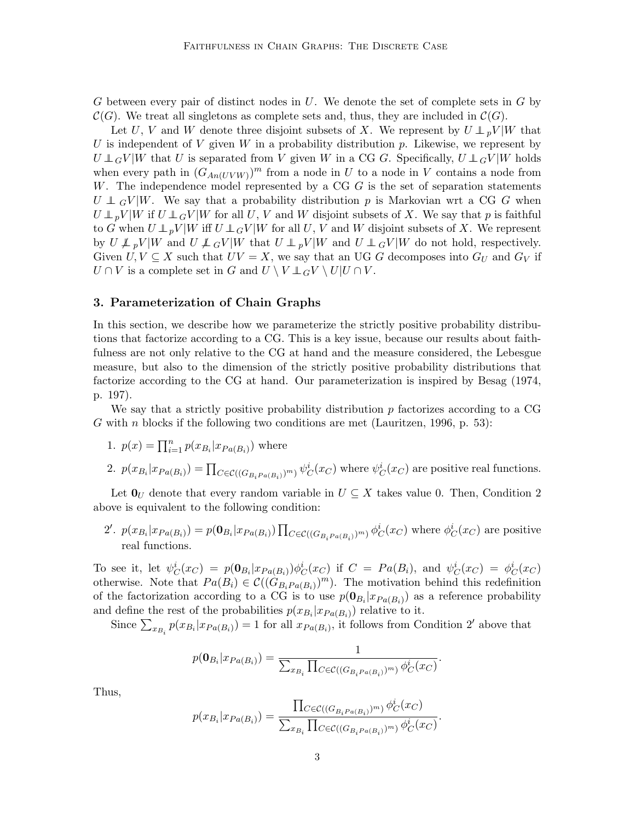G between every pair of distinct nodes in  $U$ . We denote the set of complete sets in  $G$  by  $\mathcal{C}(G)$ . We treat all singletons as complete sets and, thus, they are included in  $\mathcal{C}(G)$ .

Let U, V and W denote three disjoint subsets of X. We represent by  $U \perp_{p} V |W$  that U is independent of V given W in a probability distribution p. Likewise, we represent by  $U \perp G V |W$  that U is separated from V given W in a CG G. Specifically,  $U \perp G V |W$  holds when every path in  $(G_{An(UVW)})^m$  from a node in U to a node in V contains a node from W. The independence model represented by a  $CGG$  is the set of separation statements  $U \perp G V |W$ . We say that a probability distribution p is Markovian wrt a CG G when  $U \perp_{p} V |W$  if  $U \perp_{G} V |W$  for all U, V and W disjoint subsets of X. We say that p is faithful to G when  $U \perp_{p} V |W$  iff  $U \perp_{G} V |W$  for all U, V and W disjoint subsets of X. We represent by  $U \not\perp_{p} V |W$  and  $U \not\perp_{q} V |W$  that  $U \perp_{p} V |W$  and  $U \perp_{q} V |W$  do not hold, respectively. Given  $U, V \subseteq X$  such that  $UV = X$ , we say that an UG G decomposes into  $G_U$  and  $G_V$  if  $U \cap V$  is a complete set in G and  $U \setminus V \perp \!\!\! \perp_G V \setminus U | U \cap V$ .

## 3. Parameterization of Chain Graphs

In this section, we describe how we parameterize the strictly positive probability distributions that factorize according to a CG. This is a key issue, because our results about faithfulness are not only relative to the CG at hand and the measure considered, the Lebesgue measure, but also to the dimension of the strictly positive probability distributions that factorize according to the CG at hand. Our parameterization is inspired by Besag (1974, p. 197).

We say that a strictly positive probability distribution  $p$  factorizes according to a CG  $G$  with  $n$  blocks if the following two conditions are met (Lauritzen, 1996, p. 53):

1. 
$$
p(x) = \prod_{i=1}^{n} p(x_{B_i} | x_{Pa(B_i)})
$$
 where

2.  $p(x_{B_i}|x_{Pa(B_i)}) = \prod_{C \in \mathcal{C}((G_{B_i Pa(B_i)})^m)} \psi_C^i(x_C)$  where  $\psi_C^i(x_C)$  are positive real functions.

Let  $\mathbf{0}_U$  denote that every random variable in  $U \subseteq X$  takes value 0. Then, Condition 2 above is equivalent to the following condition:

2'.  $p(x_{B_i}|x_{Pa(B_i)}) = p(\mathbf{0}_{B_i}|x_{Pa(B_i)}) \prod_{C \in \mathcal{C}((G_{B_iPa(B_i)})^m)} \phi_C^i(x_C)$  where  $\phi_C^i(x_C)$  are positive real functions.

To see it, let  $\psi_C^i(x_C) = p(\mathbf{0}_{B_i}|x_{Pa(B_i)})\phi_C^i(x_C)$  if  $C = Pa(B_i)$ , and  $\psi_C^i(x_C) = \phi_C^i(x_C)$ otherwise. Note that  $Pa(B_i) \in \mathcal{C}((G_{B_i Pa(B_i)})^m)$ . The motivation behind this redefinition of the factorization according to a CG is to use  $p(\mathbf{0}_{B_i}|x_{Pa(B_i)})$  as a reference probability and define the rest of the probabilities  $p(x_{B_i}|x_{Pa(B_i)})$  relative to it.

Since  $\sum_{x_{B_i}} p(x_{B_i}|x_{Pa(B_i)}) = 1$  for all  $x_{Pa(B_i)}$ , it follows from Condition 2' above that

$$
p(\mathbf{0}_{B_i}|x_{Pa(B_i)}) = \frac{1}{\sum_{x_{B_i}} \prod_{C \in \mathcal{C}((G_{B_i}P_{a(B_i)})^m)} \phi_C^i(x_C)}.
$$

Thus,

$$
p(x_{B_i}|x_{Pa(B_i)}) = \frac{\prod_{C \in \mathcal{C}((G_{B_i}P_{a(B_i)})^m)} \phi_C^i(x_C)}{\sum_{x_{B_i}} \prod_{C \in \mathcal{C}((G_{B_i}P_{a(B_i)})^m)} \phi_C^i(x_C)}.
$$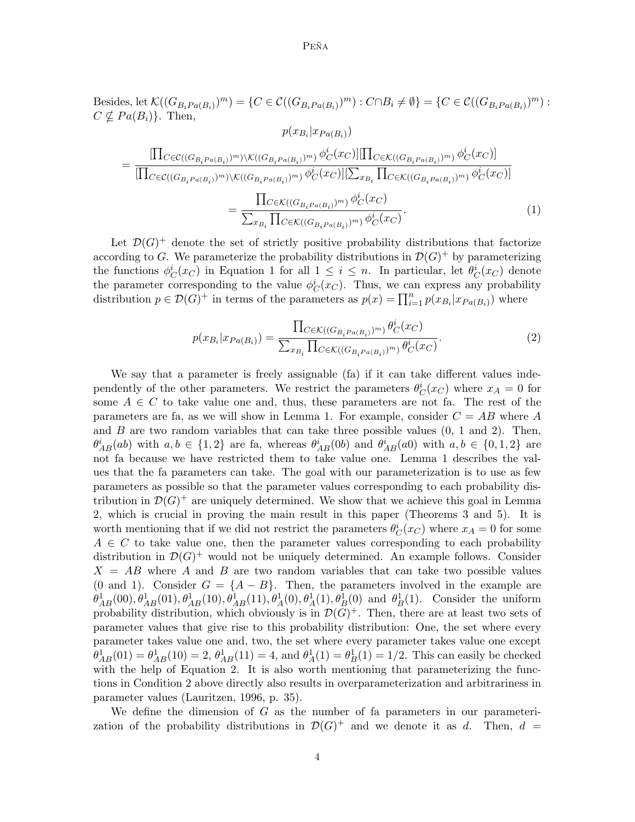#### Peña

Besides, let  $\mathcal{K}((G_{B_i Pa(B_i)})^m) = \{C \in \mathcal{C}((G_{B_i Pa(B_i)})^m) : C \cap B_i \neq \emptyset\} = \{C \in \mathcal{C}((G_{B_i Pa(B_i)})^m) : C \cap B_i \neq \emptyset\}$  $C \nsubseteq Pa(B_i)$ . Then,

$$
p(x_{B_i}|x_{Pa(B_i)})
$$
\n
$$
= \frac{\prod_{C \in \mathcal{C}((G_{B_iPa(B_i)})^m)\setminus \mathcal{K}((G_{B_iPa(B_i)})^m)} \phi_C^i(x_C) | \prod_{C \in \mathcal{K}((G_{B_iPa(B_i)})^m)} \phi_C^i(x_C) |}{\prod_{C \in \mathcal{C}((G_{B_iPa(B_i)})^m)\setminus \mathcal{K}((G_{B_iPa(B_i)})^m)} \phi_C^i(x_C) | \sum_{x_{B_i}} \prod_{C \in \mathcal{K}((G_{B_iPa(B_i)})^m)} \phi_C^i(x_C) |} \\
= \frac{\prod_{C \in \mathcal{K}((G_{B_iPa(B_i)})^m)} \phi_C^i(x_C)}{\sum_{x_{B_i}} \prod_{C \in \mathcal{K}((G_{B_iPa(B_i)})^m)} \phi_C^i(x_C)}.
$$
\n(1)

Let  $\mathcal{D}(G)^+$  denote the set of strictly positive probability distributions that factorize according to G. We parameterize the probability distributions in  $\mathcal{D}(G)^+$  by parameterizing the functions  $\phi_C^i(x_C)$  in Equation 1 for all  $1 \leq i \leq n$ . In particular, let  $\theta_C^i(x_C)$  denote the parameter corresponding to the value  $\phi_C^i(x_C)$ . Thus, we can express any probability distribution  $p \in \mathcal{D}(G)^+$  in terms of the parameters as  $p(x) = \prod_{i=1}^n p(x_{B_i}|x_{Pa(B_i)})$  where

$$
p(x_{B_i}|x_{Pa(B_i)}) = \frac{\prod_{C \in \mathcal{K}((G_{B_i}P_a(B_i))^m)} \theta_C^i(x_C)}{\sum_{x_{B_i}} \prod_{C \in \mathcal{K}((G_{B_i}P_a(B_i))^m)} \theta_C^i(x_C)}.
$$
\n(2)

We say that a parameter is freely assignable (fa) if it can take different values independently of the other parameters. We restrict the parameters  $\theta_C^i(x_C)$  where  $x_A = 0$  for some  $A \in \mathbb{C}$  to take value one and, thus, these parameters are not fa. The rest of the parameters are fa, as we will show in Lemma 1. For example, consider  $C = AB$  where A and  $B$  are two random variables that can take three possible values  $(0, 1, 2)$ . Then,  $\theta_{AB}^i(ab)$  with  $a, b \in \{1,2\}$  are fa, whereas  $\theta_{AB}^i(0b)$  and  $\theta_{AB}^i(a0)$  with  $a, b \in \{0,1,2\}$  are not fa because we have restricted them to take value one. Lemma 1 describes the values that the fa parameters can take. The goal with our parameterization is to use as few parameters as possible so that the parameter values corresponding to each probability distribution in  $\mathcal{D}(G)^+$  are uniquely determined. We show that we achieve this goal in Lemma 2, which is crucial in proving the main result in this paper (Theorems 3 and 5). It is worth mentioning that if we did not restrict the parameters  $\theta_C^i(x_C)$  where  $x_A = 0$  for some  $A \in \mathcal{C}$  to take value one, then the parameter values corresponding to each probability distribution in  $\mathcal{D}(G)^+$  would not be uniquely determined. An example follows. Consider  $X = AB$  where A and B are two random variables that can take two possible values (0 and 1). Consider  $G = \{A - B\}$ . Then, the parameters involved in the example are  $\theta_{AB}^1(00), \theta_{AB}^1(01), \theta_{AB}^1(10), \theta_{AB}^1(11), \theta_A^1(0), \theta_A^1(1), \theta_B^1(0)$  and  $\theta_B^1(1)$ . Consider the uniform probability distribution, which obviously is in  $\mathcal{D}(G)^+$ . Then, there are at least two sets of parameter values that give rise to this probability distribution: One, the set where every parameter takes value one and, two, the set where every parameter takes value one except  $\theta_{AB}^1(01) = \theta_{AB}^1(10) = 2, \theta_{AB}^1(11) = 4$ , and  $\theta_A^1(1) = \theta_B^1(1) = 1/2$ . This can easily be checked with the help of Equation 2. It is also worth mentioning that parameterizing the functions in Condition 2 above directly also results in overparameterization and arbitrariness in parameter values (Lauritzen, 1996, p. 35).

We define the dimension of  $G$  as the number of fa parameters in our parameterization of the probability distributions in  $\mathcal{D}(G)^+$  and we denote it as d. Then,  $d =$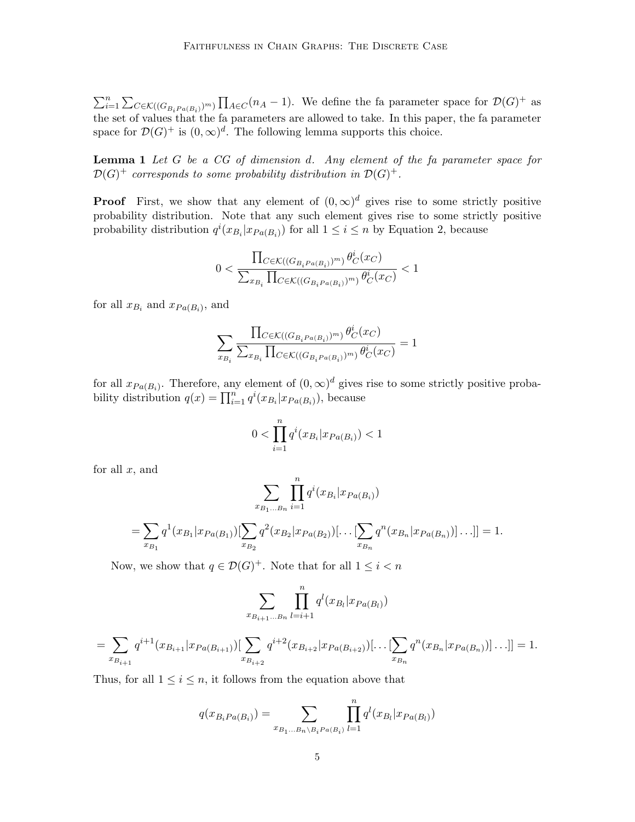$\sum_{i=1}^n \sum_{C \in \mathcal{K}} ((G_{B_i Pa(B_i)})^m) \prod_{A \in C} (n_A - 1)$ . We define the fa parameter space for  $\mathcal{D}(G)^+$  as the set of values that the fa parameters are allowed to take. In this paper, the fa parameter space for  $\mathcal{D}(G)^+$  is  $(0,\infty)^d$ . The following lemma supports this choice.

**Lemma 1** Let G be a CG of dimension d. Any element of the fa parameter space for  $\mathcal{D}(G)^+$  corresponds to some probability distribution in  $\mathcal{D}(G)^+$ .

**Proof** First, we show that any element of  $(0, \infty)^d$  gives rise to some strictly positive probability distribution. Note that any such element gives rise to some strictly positive probability distribution  $q^{i}(x_{B_i}|x_{Pa(B_i)})$  for all  $1 \leq i \leq n$  by Equation 2, because

$$
0 < \frac{\prod_{C \in \mathcal{K}((G_{B_i}P_{a(B_i)})^m)} \theta_C^i(x_C)}{\sum_{x_{B_i}} \prod_{C \in \mathcal{K}((G_{B_i}P_{a(B_i)})^m)} \theta_C^i(x_C)} < 1
$$

for all  $x_{B_i}$  and  $x_{Pa(B_i)}$ , and

$$
\sum_{x_{B_i}} \frac{\prod_{C \in \mathcal{K}((G_{B_i} P_{a(B_i)})^m)} \theta^i_C(x_C)}{\sum_{x_{B_i}} \prod_{C \in \mathcal{K}((G_{B_i} P_{a(B_i)})^m)} \theta^i_C(x_C)} = 1
$$

for all  $x_{Pa(B_i)}$ . Therefore, any element of  $(0, \infty)^d$  gives rise to some strictly positive probability distribution  $q(x) = \prod_{i=1}^{n} q^{i}(x_{B_i}|x_{Pa(B_i)})$ , because

$$
0 < \prod_{i=1}^{n} q^i (x_{B_i} | x_{Pa(B_i)}) < 1
$$

for all  $x$ , and

$$
\sum_{B_1...B_n} \prod_{i=1}^n q^i (x_{B_i} | x_{Pa(B_i)})
$$

$$
= \sum_{x_{B_1}} q^1(x_{B_1}|x_{Pa(B_1)})[\sum_{x_{B_2}} q^2(x_{B_2}|x_{Pa(B_2)})[\dots[\sum_{x_{B_n}} q^n(x_{B_n}|x_{Pa(B_n)})]\dots]] = 1.
$$

Now, we show that  $q \in \mathcal{D}(G)^+$ . Note that for all  $1 \leq i < n$ 

 $\boldsymbol{x}$ 

$$
\sum_{x_{B_{i+1}\dots B_n}} \prod_{l=i+1}^n q^l(x_{B_l}|x_{Pa(B_l)})
$$

$$
= \sum_{x_{B_{i+1}}} q^{i+1}(x_{B_{i+1}}|x_{Pa(B_{i+1})}) \left[ \sum_{x_{B_{i+2}}} q^{i+2}(x_{B_{i+2}}|x_{Pa(B_{i+2})}) \left[ \dots \left[ \sum_{x_{B_n}} q^n(x_{B_n}|x_{Pa(B_n)}) \right] \dots \right] \right] = 1.
$$

Thus, for all  $1 \leq i \leq n$ , it follows from the equation above that

$$
q(x_{B_i Pa(B_i)}) = \sum_{x_{B_1...B_n \setminus B_i Pa(B_i)}} \prod_{l=1}^n q^l(x_{B_l}|x_{Pa(B_l)})
$$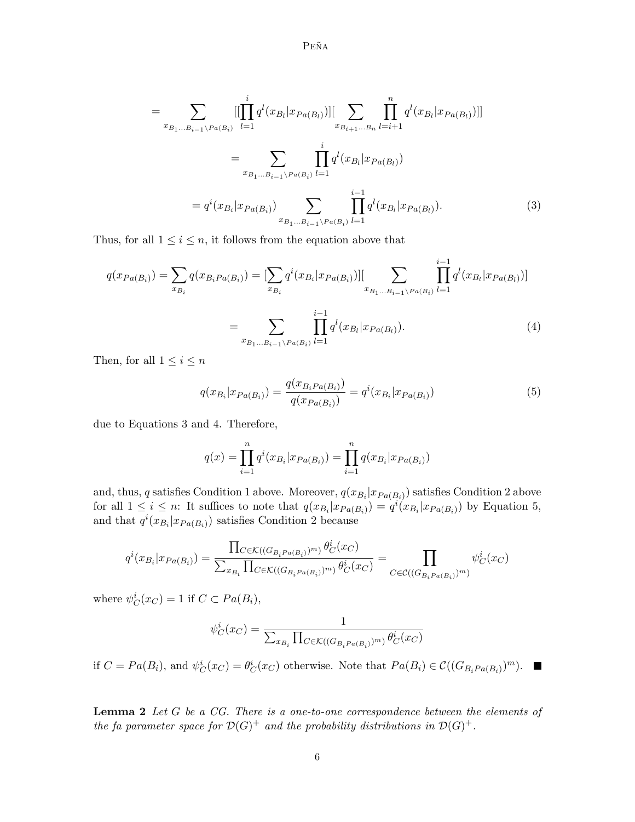$\mathbf{P}\mathbf{E}\tilde{\mathbf{N}}\mathbf{A}$ 

$$
= \sum_{x_{B_1...B_{i-1}}\backslash Pa(B_i)} [[\prod_{l=1}^i q^l(x_{B_l}|x_{Pa(B_l)})][\sum_{x_{B_{i+1}...B_n}} \prod_{l=i+1}^n q^l(x_{B_l}|x_{Pa(B_l)})]]
$$
  

$$
= \sum_{x_{B_1...B_{i-1}}\backslash Pa(B_i)} \prod_{l=1}^i q^l(x_{B_l}|x_{Pa(B_l)})
$$
  

$$
= q^i(x_{B_i}|x_{Pa(B_i)}) \sum_{x_{B_1...B_{i-1}}\backslash Pa(B_i)} \prod_{l=1}^{i-1} q^l(x_{B_l}|x_{Pa(B_l)}).
$$
 (3)

Thus, for all  $1 \leq i \leq n$ , it follows from the equation above that

$$
q(x_{Pa(B_i)}) = \sum_{x_{B_i}} q(x_{B_i Pa(B_i)}) = \left[\sum_{x_{B_i}} q^i(x_{B_i} | x_{Pa(B_i)})\right] \left[\sum_{x_{B_1...B_{i-1}} \backslash Pa(B_i)} \prod_{l=1}^{i-1} q^l(x_{B_l} | x_{Pa(B_l)})\right]
$$

$$
= \sum_{x_{B_1...B_{i-1}} \backslash Pa(B_i)} \prod_{l=1}^{i-1} q^l(x_{B_l} | x_{Pa(B_l)}).
$$
(4)

Then, for all  $1 \leq i \leq n$ 

$$
q(x_{B_i}|x_{Pa(B_i)}) = \frac{q(x_{B_i}p_{a(B_i)})}{q(x_{Pa(B_i)})} = q^i(x_{B_i}|x_{Pa(B_i)})
$$
\n(5)

due to Equations 3 and 4. Therefore,

$$
q(x) = \prod_{i=1}^{n} q^{i}(x_{B_i}|x_{Pa(B_i)}) = \prod_{i=1}^{n} q(x_{B_i}|x_{Pa(B_i)})
$$

and, thus, q satisfies Condition 1 above. Moreover,  $q(x_{B_i}|x_{Pa(B_i)})$  satisfies Condition 2 above for all  $1 \leq i \leq n$ : It suffices to note that  $q(x_{B_i}|x_{Pa(B_i)}) = q^{i}(x_{B_i}|x_{Pa(B_i)})$  by Equation 5, and that  $q^{i}(x_{B_i}|x_{Pa(B_i)})$  satisfies Condition 2 because

$$
q^{i}(x_{B_i}|x_{Pa(B_i)}) = \frac{\prod_{C \in \mathcal{K}((G_{B_i}P_{a(B_i)})^m)} \theta_C^{i}(x_C)}{\sum_{x_{B_i}} \prod_{C \in \mathcal{K}((G_{B_i}P_{a(B_i)})^m)} \theta_C^{i}(x_C)} = \prod_{C \in \mathcal{C}((G_{B_i}P_{a(B_i)})^m)} \psi_C^{i}(x_C)
$$

where  $\psi_C^i(x_C) = 1$  if  $C \subset Pa(B_i)$ ,

$$
\psi_C^i(x_C) = \frac{1}{\sum_{x_{B_i}} \prod_{C \in \mathcal{K}((G_{B_i} P_a(B_i))^m)} \theta_C^i(x_C)}
$$

if  $C = Pa(B_i)$ , and  $\psi_C^i(x_C) = \theta_C^i(x_C)$  otherwise. Note that  $Pa(B_i) \in C((G_{B_i Pa(B_i)})^m)$ .

**Lemma 2** Let  $G$  be a  $CG$ . There is a one-to-one correspondence between the elements of the fa parameter space for  $\mathcal{D}(G)^+$  and the probability distributions in  $\mathcal{D}(G)^+$ .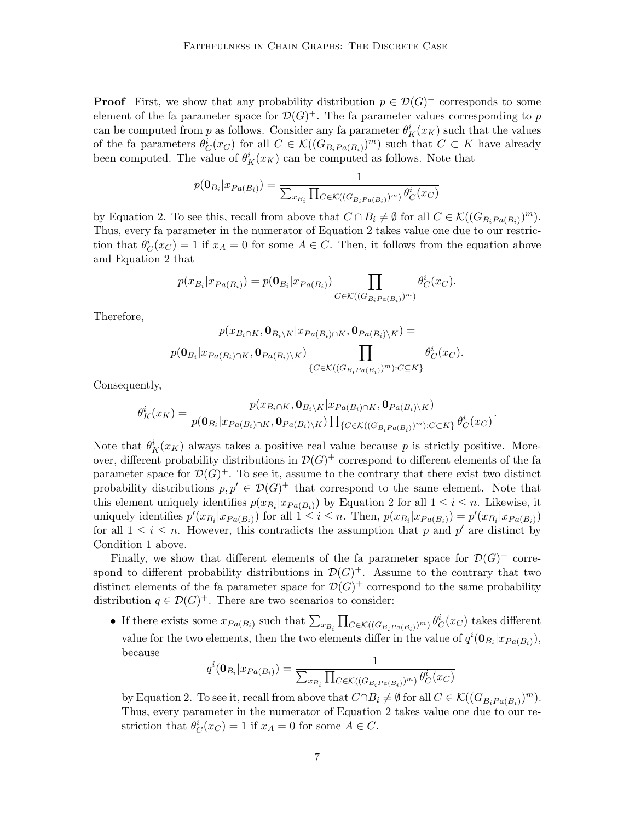**Proof** First, we show that any probability distribution  $p \in \mathcal{D}(G)^+$  corresponds to some element of the fa parameter space for  $\mathcal{D}(G)^+$ . The fa parameter values corresponding to p can be computed from p as follows. Consider any fa parameter  $\theta_K^i(x_K)$  such that the values of the fa parameters  $\theta_C^i(x_C)$  for all  $C \in \mathcal{K}((G_{B_i Pa(B_i)})^m)$  such that  $C \subset K$  have already been computed. The value of  $\theta_K^i(x_K)$  can be computed as follows. Note that

$$
p(\mathbf{0}_{B_i}|x_{Pa(B_i)}) = \frac{1}{\sum_{x_{B_i}}\prod_{C\in\mathcal{K}((G_{B_i}P(a(B_i))^m)}\theta_C^i(x_C)}
$$

by Equation 2. To see this, recall from above that  $C \cap B_i \neq \emptyset$  for all  $C \in \mathcal{K}((G_{B_i Pa(B_i)})^m)$ . Thus, every fa parameter in the numerator of Equation 2 takes value one due to our restriction that  $\theta_C^i(x_C) = 1$  if  $x_A = 0$  for some  $A \in C$ . Then, it follows from the equation above and Equation 2 that

$$
p(x_{B_i}|x_{Pa(B_i)}) = p(\mathbf{0}_{B_i}|x_{Pa(B_i)}) \prod_{C \in \mathcal{K}((G_{B_i}P_a(B_i))^m)} \theta_C^i(x_C).
$$

Therefore,

$$
p(x_{B_i \cap K}, \mathbf{0}_{B_i \setminus K} | x_{Pa(B_i) \cap K}, \mathbf{0}_{Pa(B_i) \setminus K}) =
$$
  

$$
p(\mathbf{0}_{B_i} | x_{Pa(B_i) \cap K}, \mathbf{0}_{Pa(B_i) \setminus K}) \prod_{\{C \in \mathcal{K}((G_{B_i} P_a(B_i))^m): C \subseteq K\}} \theta_C^i(x_C).
$$

Consequently,

$$
\theta_K^i(x_K) = \frac{p(x_{B_i \cap K}, \mathbf{0}_{B_i \backslash K} | x_{Pa(B_i) \cap K}, \mathbf{0}_{Pa(B_i) \backslash K})}{p(\mathbf{0}_{B_i} | x_{Pa(B_i) \cap K}, \mathbf{0}_{Pa(B_i) \backslash K}) \prod_{\{C \in \mathcal{K}((G_{B_i Pa(B_i)})^m): C \subseteq K\}} \theta_C^i(x_C)}.
$$

Note that  $\theta_K^i(x_K)$  always takes a positive real value because p is strictly positive. Moreover, different probability distributions in  $\mathcal{D}(G)^+$  correspond to different elements of the fa parameter space for  $\mathcal{D}(G)^+$ . To see it, assume to the contrary that there exist two distinct probability distributions  $p, p' \in \mathcal{D}(G)^+$  that correspond to the same element. Note that this element uniquely identifies  $p(x_{B_i}|x_{Pa(B_i)})$  by Equation 2 for all  $1 \leq i \leq n$ . Likewise, it uniquely identifies  $p'(x_{B_i}|x_{Pa(B_i)})$  for all  $1 \leq i \leq n$ . Then,  $p(x_{B_i}|x_{Pa(B_i)}) = p'(x_{B_i}|x_{Pa(B_i)})$ for all  $1 \leq i \leq n$ . However, this contradicts the assumption that p and p' are distinct by Condition 1 above.

Finally, we show that different elements of the fa parameter space for  $\mathcal{D}(G)^+$  correspond to different probability distributions in  $\mathcal{D}(G)^+$ . Assume to the contrary that two distinct elements of the fa parameter space for  $\mathcal{D}(G)^+$  correspond to the same probability distribution  $q \in \mathcal{D}(G)^+$ . There are two scenarios to consider:

• If there exists some  $x_{Pa(B_i)}$  such that  $\sum_{x_{B_i}} \prod_{C \in \mathcal{K}((G_{B_i Pa(B_i)})^m)} \theta_C^i(x_C)$  takes different value for the two elements, then the two elements differ in the value of  $q^{i}(\mathbf{0}_{B_i}|x_{Pa(B_i)}),$ because

$$
q^{i}(\mathbf{0}_{B_{i}}|x_{Pa(B_{i})}) = \frac{1}{\sum_{x_{B_{i}}}\prod_{C \in \mathcal{K}((G_{B_{i}Pa(B_{i})})^{m})} \theta_{C}^{i}(x_{C})}
$$

by Equation 2. To see it, recall from above that  $C \cap B_i \neq \emptyset$  for all  $C \in \mathcal{K}((G_{B_i Pa(B_i)})^m)$ . Thus, every parameter in the numerator of Equation 2 takes value one due to our restriction that  $\theta_C^i(x_C) = 1$  if  $x_A = 0$  for some  $A \in C$ .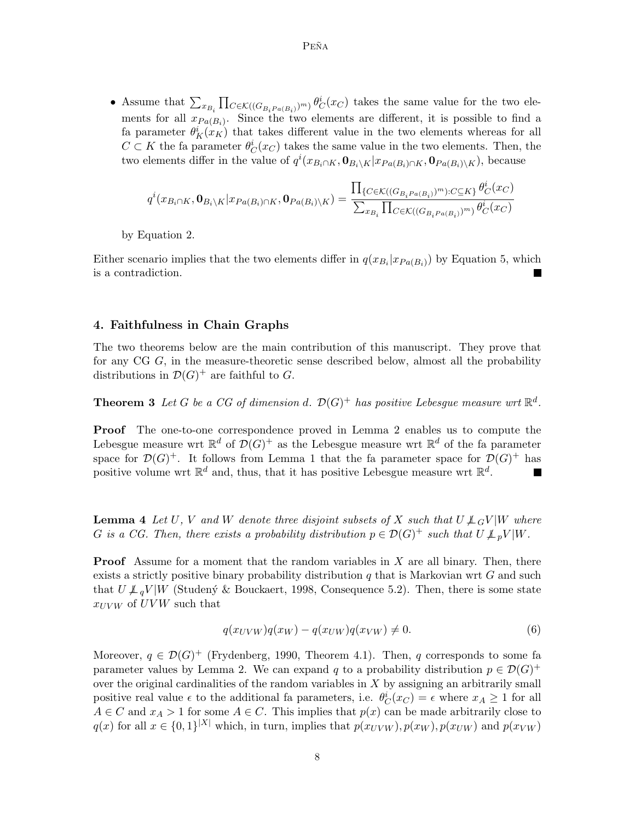• Assume that  $\sum_{x_{B_i}} \prod_{C \in \mathcal{K}((G_{B_i Pa(B_i)})^m)} \theta_C^i(x_C)$  takes the same value for the two elements for all  $x_{Pa(B_i)}$ . Since the two elements are different, it is possible to find a fa parameter  $\theta_K^i(x_K)$  that takes different value in the two elements whereas for all  $C \subset K$  the fa parameter  $\theta_C^i(x_C)$  takes the same value in the two elements. Then, the two elements differ in the value of  $q^{i}(x_{B_i \cap K}, \mathbf{0}_{B_i\setminus K}|x_{Pa(B_i)\cap K}, \mathbf{0}_{Pa(B_i)\setminus K})$ , because

$$
q^{i}(x_{B_{i}\cap K},\mathbf{0}_{B_{i}\backslash K}|x_{Pa(B_{i})\cap K},\mathbf{0}_{Pa(B_{i})\backslash K}) = \frac{\prod_{\{C\in\mathcal{K}((G_{B_{i}Pa(B_{i})})^{m}):C\subseteq K\}}\theta_{C}^{i}(x_{C})}{\sum_{x_{B_{i}}}\prod_{C\in\mathcal{K}((G_{B_{i}Pa(B_{i})})^{m})}\theta_{C}^{i}(x_{C})}
$$

by Equation 2.

Either scenario implies that the two elements differ in  $q(x_{B_i}|x_{Pa(B_i)})$  by Equation 5, which is a contradiction.

# 4. Faithfulness in Chain Graphs

The two theorems below are the main contribution of this manuscript. They prove that for any CG G, in the measure-theoretic sense described below, almost all the probability distributions in  $\mathcal{D}(G)^+$  are faithful to G.

**Theorem 3** Let G be a CG of dimension d.  $\mathcal{D}(G)^+$  has positive Lebesgue measure wrt  $\mathbb{R}^d$ .

Proof The one-to-one correspondence proved in Lemma 2 enables us to compute the Lebesgue measure wrt  $\mathbb{R}^d$  of  $\mathcal{D}(G)^+$  as the Lebesgue measure wrt  $\mathbb{R}^d$  of the fa parameter space for  $\mathcal{D}(G)^+$ . It follows from Lemma 1 that the fa parameter space for  $\mathcal{D}(G)^+$  has positive volume wrt  $\mathbb{R}^d$  and, thus, that it has positive Lebesgue measure wrt  $\mathbb{R}^d$ . **In the Second State** 

**Lemma 4** Let U, V and W denote three disjoint subsets of X such that  $U \not\perp G V |W$  where G is a CG. Then, there exists a probability distribution  $p \in \mathcal{D}(G)^+$  such that  $U \not\perp_p V |W$ .

**Proof** Assume for a moment that the random variables in  $X$  are all binary. Then, there exists a strictly positive binary probability distribution  $q$  that is Markovian wrt  $G$  and such that  $U \not\perp_{q} V |W$  (Studený & Bouckaert, 1998, Consequence 5.2). Then, there is some state  $x_{UVW}$  of  $UVW$  such that

$$
q(x_{UVW})q(x_W) - q(x_{UW})q(x_{VW}) \neq 0.
$$
\n<sup>(6)</sup>

Moreover,  $q \in \mathcal{D}(G)^+$  (Frydenberg, 1990, Theorem 4.1). Then, q corresponds to some fa parameter values by Lemma 2. We can expand q to a probability distribution  $p \in \mathcal{D}(G)^+$ over the original cardinalities of the random variables in  $X$  by assigning an arbitrarily small positive real value  $\epsilon$  to the additional fa parameters, i.e.  $\theta_C^i(x_C) = \epsilon$  where  $x_A \ge 1$  for all  $A \in C$  and  $x_A > 1$  for some  $A \in C$ . This implies that  $p(x)$  can be made arbitrarily close to  $q(x)$  for all  $x \in \{0,1\}^{|X|}$  which, in turn, implies that  $p(x_{UVW}), p(x_{W}), p(x_{UW})$  and  $p(x_{VW})$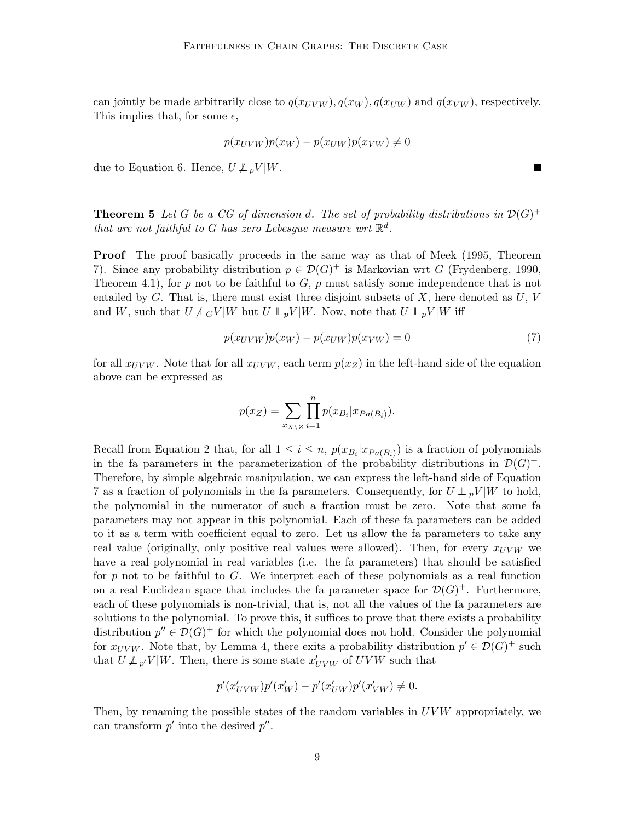can jointly be made arbitrarily close to  $q(x_{UVW})$ ,  $q(x_{WW})$ ,  $q(x_{UW})$  and  $q(x_{VW})$ , respectively. This implies that, for some  $\epsilon$ ,

$$
p(x_{UVW})p(x_W) - p(x_{UW})p(x_{VW}) \neq 0
$$

due to Equation 6. Hence,  $U \not\perp_{p} V |W$ .

**Theorem 5** Let G be a CG of dimension d. The set of probability distributions in  $\mathcal{D}(G)^+$ that are not faithful to G has zero Lebesgue measure wrt  $\mathbb{R}^d$ .

Proof The proof basically proceeds in the same way as that of Meek (1995, Theorem 7). Since any probability distribution  $p \in \mathcal{D}(G)^+$  is Markovian wrt G (Frydenberg, 1990, Theorem 4.1), for p not to be faithful to  $G$ , p must satisfy some independence that is not entailed by  $G$ . That is, there must exist three disjoint subsets of  $X$ , here denoted as  $U, V$ and W, such that  $U \perp \!\!\!\perp_G V |W$  but  $U \perp \!\!\!\perp_p V |W$ . Now, note that  $U \perp \!\!\!\perp_p V |W$  iff

$$
p(x_{UVW})p(x_W) - p(x_{UW})p(x_{VW}) = 0
$$
\n<sup>(7)</sup>

П

for all  $x_{UVW}$ . Note that for all  $x_{UVW}$ , each term  $p(x_Z)$  in the left-hand side of the equation above can be expressed as

$$
p(x_Z) = \sum_{x_{X \setminus Z}} \prod_{i=1}^n p(x_{B_i} | x_{Pa(B_i)}).
$$

Recall from Equation 2 that, for all  $1 \leq i \leq n$ ,  $p(x_{B_i}|x_{Pa(B_i)})$  is a fraction of polynomials in the fa parameters in the parameterization of the probability distributions in  $\mathcal{D}(G)^+$ . Therefore, by simple algebraic manipulation, we can express the left-hand side of Equation 7 as a fraction of polynomials in the fa parameters. Consequently, for  $U \perp pV |W$  to hold, the polynomial in the numerator of such a fraction must be zero. Note that some fa parameters may not appear in this polynomial. Each of these fa parameters can be added to it as a term with coefficient equal to zero. Let us allow the fa parameters to take any real value (originally, only positive real values were allowed). Then, for every  $x_{UVW}$  we have a real polynomial in real variables (i.e. the fa parameters) that should be satisfied for  $p$  not to be faithful to  $G$ . We interpret each of these polynomials as a real function on a real Euclidean space that includes the fa parameter space for  $\mathcal{D}(G)^+$ . Furthermore, each of these polynomials is non-trivial, that is, not all the values of the fa parameters are solutions to the polynomial. To prove this, it suffices to prove that there exists a probability distribution  $p'' \in \mathcal{D}(G)^+$  for which the polynomial does not hold. Consider the polynomial for  $x_{UVW}$ . Note that, by Lemma 4, there exits a probability distribution  $p' \in \mathcal{D}(G)^+$  such that  $U \not\perp_{p'} V | W$ . Then, there is some state  $x'_{UVW}$  of  $UVW$  such that

$$
p'(x'_{UVW})p'(x'_{W}) - p'(x'_{UW})p'(x'_{VW}) \neq 0.
$$

Then, by renaming the possible states of the random variables in  $UVW$  appropriately, we can transform  $p'$  into the desired  $p''$ .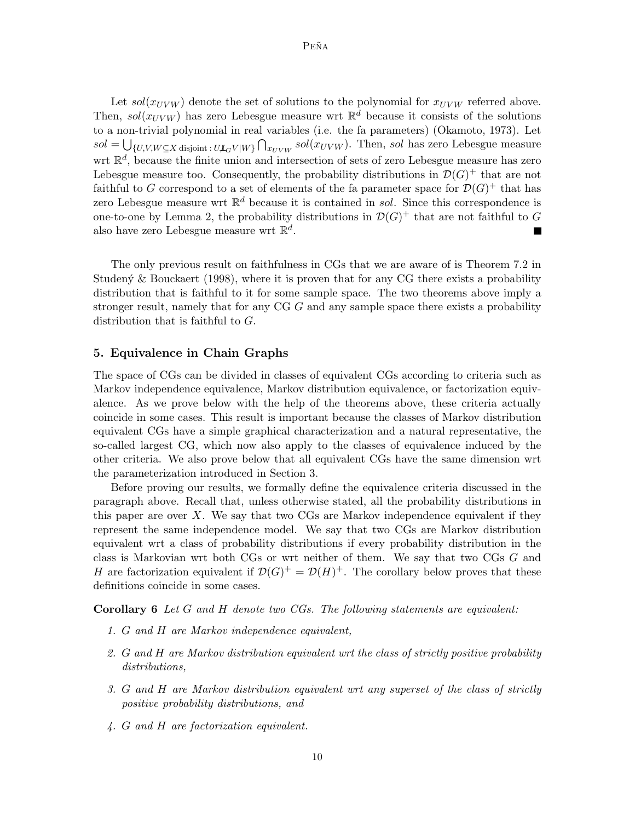Let  $sol(x_{UVW})$  denote the set of solutions to the polynomial for  $x_{UVW}$  referred above. Then,  $sol(x_{UVW})$  has zero Lebesgue measure wrt  $\mathbb{R}^d$  because it consists of the solutions to a non-trivial polynomial in real variables (i.e. the fa parameters) (Okamoto, 1973). Let  $sol = \bigcup_{\{U,V,W \subseteq X \text{ disjoint} : U \not\perp_G V | W\}} \bigcap_{x_{UVW}} sol(x_{UVW}).$  Then, sol has zero Lebesgue measure wrt  $\mathbb{R}^d$ , because the finite union and intersection of sets of zero Lebesgue measure has zero Lebesgue measure too. Consequently, the probability distributions in  $\mathcal{D}(G)^+$  that are not faithful to G correspond to a set of elements of the fa parameter space for  $\mathcal{D}(G)^+$  that has zero Lebesgue measure wrt  $\mathbb{R}^d$  because it is contained in sol. Since this correspondence is one-to-one by Lemma 2, the probability distributions in  $\mathcal{D}(G)^+$  that are not faithful to G also have zero Lebesgue measure wrt  $\mathbb{R}^d$ .

The only previous result on faithfulness in CGs that we are aware of is Theorem 7.2 in Studený  $\&$  Bouckaert (1998), where it is proven that for any CG there exists a probability distribution that is faithful to it for some sample space. The two theorems above imply a stronger result, namely that for any CG G and any sample space there exists a probability distribution that is faithful to G.

## 5. Equivalence in Chain Graphs

The space of CGs can be divided in classes of equivalent CGs according to criteria such as Markov independence equivalence, Markov distribution equivalence, or factorization equivalence. As we prove below with the help of the theorems above, these criteria actually coincide in some cases. This result is important because the classes of Markov distribution equivalent CGs have a simple graphical characterization and a natural representative, the so-called largest CG, which now also apply to the classes of equivalence induced by the other criteria. We also prove below that all equivalent CGs have the same dimension wrt the parameterization introduced in Section 3.

Before proving our results, we formally define the equivalence criteria discussed in the paragraph above. Recall that, unless otherwise stated, all the probability distributions in this paper are over  $X$ . We say that two CGs are Markov independence equivalent if they represent the same independence model. We say that two CGs are Markov distribution equivalent wrt a class of probability distributions if every probability distribution in the class is Markovian wrt both CGs or wrt neither of them. We say that two CGs G and H are factorization equivalent if  $\mathcal{D}(G)^{+} = \mathcal{D}(H)^{+}$ . The corollary below proves that these definitions coincide in some cases.

**Corollary 6** Let  $G$  and  $H$  denote two  $CGs$ . The following statements are equivalent:

- 1. G and H are Markov independence equivalent,
- 2. G and H are Markov distribution equivalent wrt the class of strictly positive probability distributions,
- 3. G and H are Markov distribution equivalent wrt any superset of the class of strictly positive probability distributions, and
- 4. G and H are factorization equivalent.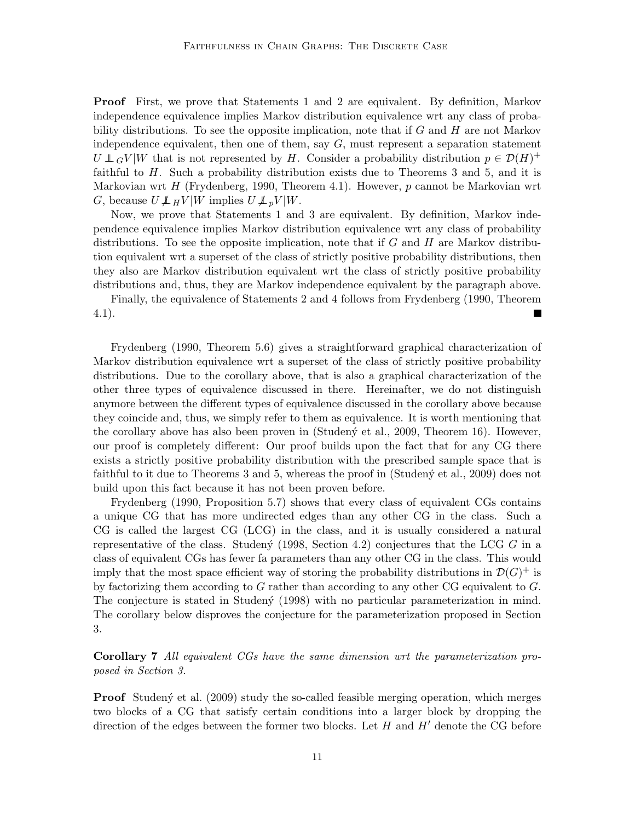Proof First, we prove that Statements 1 and 2 are equivalent. By definition, Markov independence equivalence implies Markov distribution equivalence wrt any class of probability distributions. To see the opposite implication, note that if  $G$  and  $H$  are not Markov independence equivalent, then one of them, say  $G$ , must represent a separation statement  $U \perp G V | W$  that is not represented by H. Consider a probability distribution  $p \in \mathcal{D}(H)^+$ faithful to  $H$ . Such a probability distribution exists due to Theorems 3 and 5, and it is Markovian wrt  $H$  (Frydenberg, 1990, Theorem 4.1). However,  $p$  cannot be Markovian wrt G, because  $U \not\perp_H V |W$  implies  $U \not\perp_p V |W$ .

Now, we prove that Statements 1 and 3 are equivalent. By definition, Markov independence equivalence implies Markov distribution equivalence wrt any class of probability distributions. To see the opposite implication, note that if  $G$  and  $H$  are Markov distribution equivalent wrt a superset of the class of strictly positive probability distributions, then they also are Markov distribution equivalent wrt the class of strictly positive probability distributions and, thus, they are Markov independence equivalent by the paragraph above.

Finally, the equivalence of Statements 2 and 4 follows from Frydenberg (1990, Theorem 4.1).

Frydenberg (1990, Theorem 5.6) gives a straightforward graphical characterization of Markov distribution equivalence wrt a superset of the class of strictly positive probability distributions. Due to the corollary above, that is also a graphical characterization of the other three types of equivalence discussed in there. Hereinafter, we do not distinguish anymore between the different types of equivalence discussed in the corollary above because they coincide and, thus, we simply refer to them as equivalence. It is worth mentioning that the corollary above has also been proven in (Studeny et al., 2009, Theorem 16). However, our proof is completely different: Our proof builds upon the fact that for any CG there exists a strictly positive probability distribution with the prescribed sample space that is faithful to it due to Theorems 3 and 5, whereas the proof in (Studen $\acute{\gamma}$  et al., 2009) does not build upon this fact because it has not been proven before.

Frydenberg (1990, Proposition 5.7) shows that every class of equivalent CGs contains a unique CG that has more undirected edges than any other CG in the class. Such a CG is called the largest CG (LCG) in the class, and it is usually considered a natural representative of the class. Studen $\circ$  (1998, Section 4.2) conjectures that the LCG G in a class of equivalent CGs has fewer fa parameters than any other CG in the class. This would imply that the most space efficient way of storing the probability distributions in  $\mathcal{D}(G)^+$  is by factorizing them according to  $G$  rather than according to any other CG equivalent to  $G$ . The conjecture is stated in Studen $\acute{y}$  (1998) with no particular parameterization in mind. The corollary below disproves the conjecture for the parameterization proposed in Section 3.

Corollary 7 All equivalent CGs have the same dimension wrt the parameterization proposed in Section 3.

**Proof** Studený et al. (2009) study the so-called feasible merging operation, which merges two blocks of a CG that satisfy certain conditions into a larger block by dropping the direction of the edges between the former two blocks. Let  $H$  and  $H'$  denote the CG before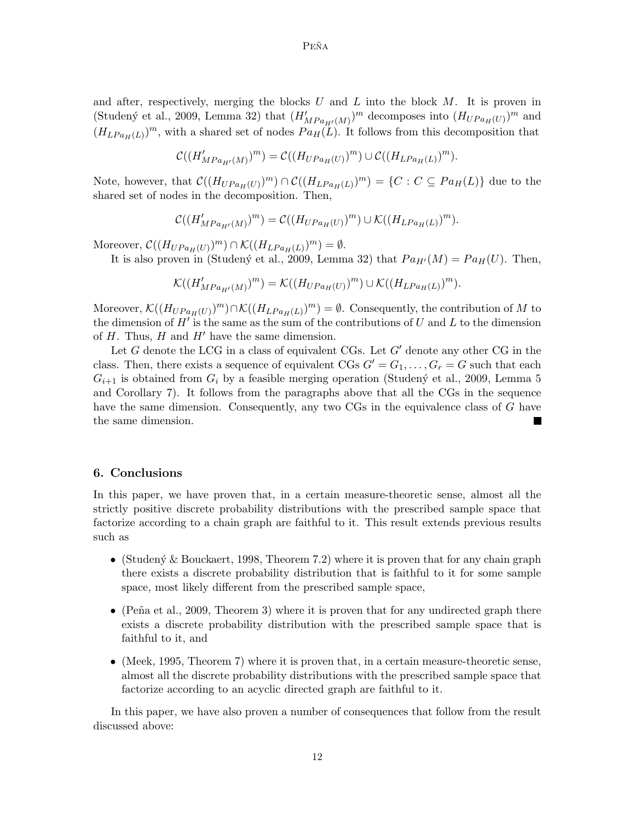Peña

and after, respectively, merging the blocks  $U$  and  $L$  into the block  $M$ . It is proven in (Studený et al., 2009, Lemma 32) that  $(H'_{MPa_{H'}(M)})^m$  decomposes into  $(H_{UPa_{H}(U)})^m$  and  $(H_{LPa_H(L)})^m$ , with a shared set of nodes  $Pa_H(L)$ . It follows from this decomposition that

$$
\mathcal{C}((H'_{MPa_{H'}(M)})^{m}) = \mathcal{C}((H_{UPa_{H}(U)})^{m}) \cup \mathcal{C}((H_{LPa_{H}(L)})^{m}).
$$

Note, however, that  $\mathcal{C}((H_{UPa_H(U)})^m) \cap \mathcal{C}((H_{LPa_H(L)})^m) = \{C : C \subseteq Pa_H(L)\}\$ due to the shared set of nodes in the decomposition. Then,

$$
\mathcal{C}((H_{MPa_{H'}(M)}^\prime)^m)=\mathcal{C}((H_{UPa_H(U)})^m)\cup \mathcal{K}((H_{LPa_H(L)})^m).
$$

Moreover,  $\mathcal{C}((H_{UPa_H(U)})^m) \cap \mathcal{K}((H_{LPa_H(L)})^m) = \emptyset.$ 

It is also proven in (Studený et al., 2009, Lemma 32) that  $Pa_{H'}(M) = Pa_H(U)$ . Then,

$$
\mathcal{K}((H'_{MPa_{H'}(M)})^m)=\mathcal{K}((H_{UPa_H(U)})^m)\cup\mathcal{K}((H_{LPa_H(L)})^m).
$$

Moreover,  $\mathcal{K}((H_{UPa_H(U)})^m) \cap \mathcal{K}((H_{LPa_H(L)})^m) = \emptyset$ . Consequently, the contribution of M to the dimension of  $H'$  is the same as the sum of the contributions of U and L to the dimension of  $H$ . Thus,  $H$  and  $H'$  have the same dimension.

Let G denote the LCG in a class of equivalent CGs. Let  $G'$  denote any other CG in the class. Then, there exists a sequence of equivalent CGs  $G' = G_1, \ldots, G_r = G$  such that each  $G_{i+1}$  is obtained from  $G_i$  by a feasible merging operation (Studený et al., 2009, Lemma 5) and Corollary 7). It follows from the paragraphs above that all the CGs in the sequence have the same dimension. Consequently, any two CGs in the equivalence class of G have the same dimension.

# 6. Conclusions

In this paper, we have proven that, in a certain measure-theoretic sense, almost all the strictly positive discrete probability distributions with the prescribed sample space that factorize according to a chain graph are faithful to it. This result extends previous results such as

- (Studený & Bouckaert, 1998, Theorem 7.2) where it is proven that for any chain graph there exists a discrete probability distribution that is faithful to it for some sample space, most likely different from the prescribed sample space,
- (Peña et al., 2009, Theorem 3) where it is proven that for any undirected graph there exists a discrete probability distribution with the prescribed sample space that is faithful to it, and
- (Meek, 1995, Theorem 7) where it is proven that, in a certain measure-theoretic sense, almost all the discrete probability distributions with the prescribed sample space that factorize according to an acyclic directed graph are faithful to it.

In this paper, we have also proven a number of consequences that follow from the result discussed above: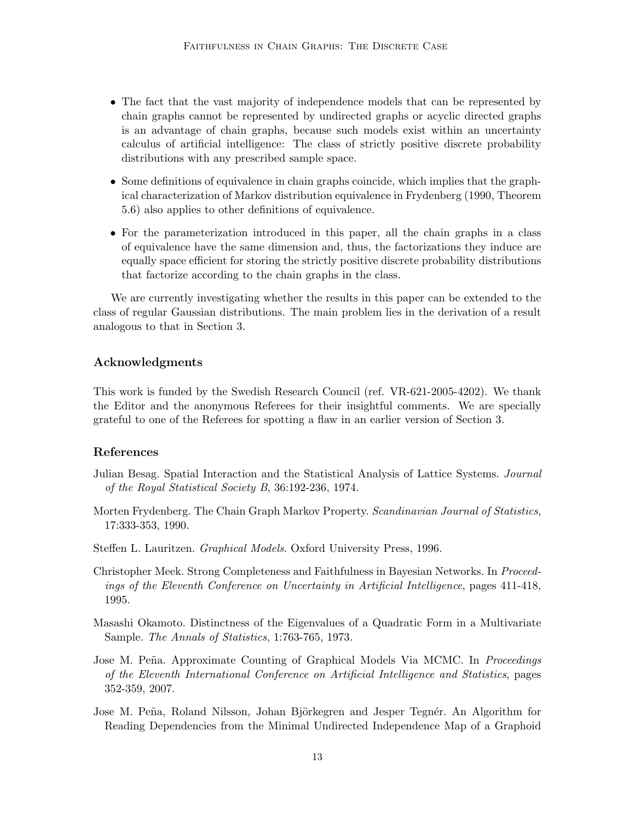- The fact that the vast majority of independence models that can be represented by chain graphs cannot be represented by undirected graphs or acyclic directed graphs is an advantage of chain graphs, because such models exist within an uncertainty calculus of artificial intelligence: The class of strictly positive discrete probability distributions with any prescribed sample space.
- Some definitions of equivalence in chain graphs coincide, which implies that the graphical characterization of Markov distribution equivalence in Frydenberg (1990, Theorem 5.6) also applies to other definitions of equivalence.
- For the parameterization introduced in this paper, all the chain graphs in a class of equivalence have the same dimension and, thus, the factorizations they induce are equally space efficient for storing the strictly positive discrete probability distributions that factorize according to the chain graphs in the class.

We are currently investigating whether the results in this paper can be extended to the class of regular Gaussian distributions. The main problem lies in the derivation of a result analogous to that in Section 3.

# Acknowledgments

This work is funded by the Swedish Research Council (ref. VR-621-2005-4202). We thank the Editor and the anonymous Referees for their insightful comments. We are specially grateful to one of the Referees for spotting a flaw in an earlier version of Section 3.

### References

- Julian Besag. Spatial Interaction and the Statistical Analysis of Lattice Systems. Journal of the Royal Statistical Society B, 36:192-236, 1974.
- Morten Frydenberg. The Chain Graph Markov Property. Scandinavian Journal of Statistics, 17:333-353, 1990.
- Steffen L. Lauritzen. Graphical Models. Oxford University Press, 1996.
- Christopher Meek. Strong Completeness and Faithfulness in Bayesian Networks. In Proceedings of the Eleventh Conference on Uncertainty in Artificial Intelligence, pages 411-418, 1995.
- Masashi Okamoto. Distinctness of the Eigenvalues of a Quadratic Form in a Multivariate Sample. The Annals of Statistics, 1:763-765, 1973.
- Jose M. Peña. Approximate Counting of Graphical Models Via MCMC. In *Proceedings* of the Eleventh International Conference on Artificial Intelligence and Statistics, pages 352-359, 2007.
- Jose M. Peña, Roland Nilsson, Johan Björkegren and Jesper Tegnér. An Algorithm for Reading Dependencies from the Minimal Undirected Independence Map of a Graphoid